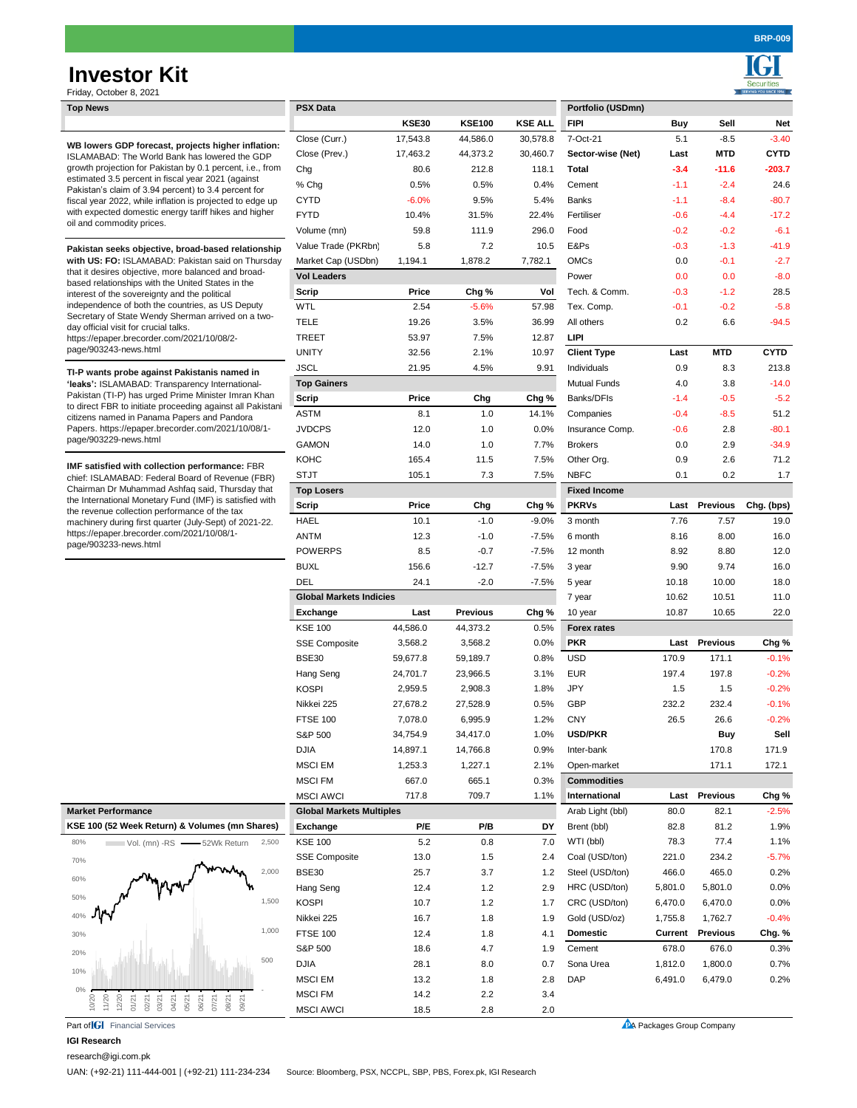# **Investor Kit**

Ī ٠ Securities

| Friday, October 8, 2021                                                                                                                                                                                                                                                                                                                                                                                                                                                                        |                                 |          |                 |                |                     |                           |                 |             |
|------------------------------------------------------------------------------------------------------------------------------------------------------------------------------------------------------------------------------------------------------------------------------------------------------------------------------------------------------------------------------------------------------------------------------------------------------------------------------------------------|---------------------------------|----------|-----------------|----------------|---------------------|---------------------------|-----------------|-------------|
| <b>Top News</b>                                                                                                                                                                                                                                                                                                                                                                                                                                                                                | <b>PSX Data</b>                 |          |                 |                | Portfolio (USDmn)   |                           |                 |             |
|                                                                                                                                                                                                                                                                                                                                                                                                                                                                                                |                                 | KSE30    | <b>KSE100</b>   | <b>KSE ALL</b> | <b>FIPI</b>         | Buy                       | Sell            | Net         |
| WB lowers GDP forecast, projects higher inflation:<br>ISLAMABAD: The World Bank has lowered the GDP<br>growth projection for Pakistan by 0.1 percent, i.e., from<br>estimated 3.5 percent in fiscal year 2021 (against<br>Pakistan's claim of 3.94 percent) to 3.4 percent for<br>fiscal year 2022, while inflation is projected to edge up<br>with expected domestic energy tariff hikes and higher<br>oil and commodity prices.                                                              | Close (Curr.)                   | 17,543.8 | 44,586.0        | 30,578.8       | 7-Oct-21            | 5.1                       | $-8.5$          | $-3.40$     |
|                                                                                                                                                                                                                                                                                                                                                                                                                                                                                                | Close (Prev.)                   | 17,463.2 | 44,373.2        | 30,460.7       | Sector-wise (Net)   | Last                      | MTD             | <b>CYTD</b> |
|                                                                                                                                                                                                                                                                                                                                                                                                                                                                                                | Chg                             | 80.6     | 212.8           | 118.1          | Total               | $-3.4$                    | $-11.6$         | $-203.7$    |
|                                                                                                                                                                                                                                                                                                                                                                                                                                                                                                | % Chg                           | 0.5%     | 0.5%            | 0.4%           | Cement              | $-1.1$                    | $-2.4$          | 24.6        |
|                                                                                                                                                                                                                                                                                                                                                                                                                                                                                                | <b>CYTD</b>                     | $-6.0%$  | 9.5%            | 5.4%           | <b>Banks</b>        | $-1.1$                    | $-8.4$          | $-80.7$     |
|                                                                                                                                                                                                                                                                                                                                                                                                                                                                                                | <b>FYTD</b>                     | 10.4%    | 31.5%           | 22.4%          | Fertiliser          | $-0.6$                    | $-4.4$          | $-17.2$     |
|                                                                                                                                                                                                                                                                                                                                                                                                                                                                                                | Volume (mn)                     | 59.8     | 111.9           | 296.0          | Food                | $-0.2$                    | $-0.2$          | $-6.1$      |
| Pakistan seeks objective, broad-based relationship<br>with US: FO: ISLAMABAD: Pakistan said on Thursday<br>that it desires objective, more balanced and broad-<br>based relationships with the United States in the<br>interest of the sovereignty and the political<br>independence of both the countries, as US Deputy<br>Secretary of State Wendy Sherman arrived on a two-<br>day official visit for crucial talks.<br>https://epaper.brecorder.com/2021/10/08/2-<br>page/903243-news.html | Value Trade (PKRbn)             | 5.8      | 7.2             | 10.5           | E&Ps                | $-0.3$                    | $-1.3$          | $-41.9$     |
|                                                                                                                                                                                                                                                                                                                                                                                                                                                                                                | Market Cap (USDbn)              | 1,194.1  | 1,878.2         | 7,782.1        | <b>OMCs</b>         | 0.0                       | $-0.1$          | $-2.7$      |
|                                                                                                                                                                                                                                                                                                                                                                                                                                                                                                | <b>Vol Leaders</b>              |          |                 |                | Power               | 0.0                       | 0.0             | $-8.0$      |
|                                                                                                                                                                                                                                                                                                                                                                                                                                                                                                | Scrip                           | Price    | Chg %           | Vol            | Tech. & Comm.       | $-0.3$                    | $-1.2$          | 28.5        |
|                                                                                                                                                                                                                                                                                                                                                                                                                                                                                                | <b>WTL</b>                      | 2.54     | $-5.6%$         | 57.98          | Tex. Comp.          | $-0.1$                    | $-0.2$          | $-5.8$      |
|                                                                                                                                                                                                                                                                                                                                                                                                                                                                                                | <b>TELE</b>                     | 19.26    | 3.5%            | 36.99          | All others          | 0.2                       | 6.6             | $-94.5$     |
|                                                                                                                                                                                                                                                                                                                                                                                                                                                                                                | <b>TREET</b>                    | 53.97    | 7.5%            | 12.87          | <b>LIPI</b>         |                           |                 |             |
|                                                                                                                                                                                                                                                                                                                                                                                                                                                                                                | <b>UNITY</b>                    | 32.56    | 2.1%            | 10.97          | <b>Client Type</b>  | Last                      | <b>MTD</b>      | <b>CYTD</b> |
|                                                                                                                                                                                                                                                                                                                                                                                                                                                                                                | <b>JSCL</b>                     | 21.95    | 4.5%            | 9.91           | Individuals         | 0.9                       | 8.3             | 213.8       |
| TI-P wants probe against Pakistanis named in<br>'leaks': ISLAMABAD: Transparency International-<br>Pakistan (TI-P) has urged Prime Minister Imran Khan<br>to direct FBR to initiate proceeding against all Pakistani<br>citizens named in Panama Papers and Pandora<br>Papers. https://epaper.brecorder.com/2021/10/08/1-<br>page/903229-news.html                                                                                                                                             | <b>Top Gainers</b>              |          |                 |                | <b>Mutual Funds</b> | 4.0                       | 3.8             | $-14.0$     |
|                                                                                                                                                                                                                                                                                                                                                                                                                                                                                                | Scrip                           | Price    | Chg             | Chg %          | Banks/DFIs          | $-1.4$                    | $-0.5$          | $-5.2$      |
|                                                                                                                                                                                                                                                                                                                                                                                                                                                                                                | <b>ASTM</b>                     | 8.1      | 1.0             | 14.1%          | Companies           | $-0.4$                    | $-8.5$          | 51.2        |
|                                                                                                                                                                                                                                                                                                                                                                                                                                                                                                | <b>JVDCPS</b>                   | 12.0     | 1.0             | 0.0%           | Insurance Comp.     | $-0.6$                    | 2.8             | $-80.1$     |
|                                                                                                                                                                                                                                                                                                                                                                                                                                                                                                | <b>GAMON</b>                    | 14.0     | 1.0             | 7.7%           | <b>Brokers</b>      | 0.0                       | 2.9             | $-34.9$     |
|                                                                                                                                                                                                                                                                                                                                                                                                                                                                                                | <b>KOHC</b>                     | 165.4    | 11.5            | 7.5%           | Other Org.          | 0.9                       | 2.6             | 71.2        |
| IMF satisfied with collection performance: FBR<br>chief: ISLAMABAD: Federal Board of Revenue (FBR)<br>Chairman Dr Muhammad Ashfaq said, Thursday that<br>the International Monetary Fund (IMF) is satisfied with<br>the revenue collection performance of the tax<br>machinery during first quarter (July-Sept) of 2021-22.<br>https://epaper.brecorder.com/2021/10/08/1-<br>page/903233-news.html                                                                                             | <b>STJT</b>                     | 105.1    | 7.3             | 7.5%           | <b>NBFC</b>         | 0.1                       | 0.2             | 1.7         |
|                                                                                                                                                                                                                                                                                                                                                                                                                                                                                                |                                 |          |                 |                | <b>Fixed Income</b> |                           |                 |             |
|                                                                                                                                                                                                                                                                                                                                                                                                                                                                                                | <b>Top Losers</b><br>Scrip      | Price    | Chg             | Chg %          | <b>PKRVs</b>        | Last                      | <b>Previous</b> |             |
|                                                                                                                                                                                                                                                                                                                                                                                                                                                                                                |                                 | 10.1     | $-1.0$          |                |                     |                           |                 | Chg. (bps)  |
|                                                                                                                                                                                                                                                                                                                                                                                                                                                                                                | <b>HAEL</b>                     |          |                 | $-9.0%$        | 3 month             | 7.76                      | 7.57            | 19.0        |
|                                                                                                                                                                                                                                                                                                                                                                                                                                                                                                | ANTM                            | 12.3     | $-1.0$          | $-7.5%$        | 6 month             | 8.16                      | 8.00            | 16.0        |
|                                                                                                                                                                                                                                                                                                                                                                                                                                                                                                | <b>POWERPS</b>                  | 8.5      | $-0.7$          | $-7.5%$        | 12 month            | 8.92                      | 8.80            | 12.0        |
|                                                                                                                                                                                                                                                                                                                                                                                                                                                                                                | <b>BUXL</b>                     | 156.6    | $-12.7$         | $-7.5%$        | 3 year              | 9.90                      | 9.74            | 16.0        |
|                                                                                                                                                                                                                                                                                                                                                                                                                                                                                                | <b>DEL</b>                      | 24.1     | $-2.0$          | $-7.5%$        | 5 year              | 10.18                     | 10.00           | 18.0        |
|                                                                                                                                                                                                                                                                                                                                                                                                                                                                                                | <b>Global Markets Indicies</b>  |          |                 |                | 7 year              | 10.62                     | 10.51           | 11.0        |
|                                                                                                                                                                                                                                                                                                                                                                                                                                                                                                | Exchange                        | Last     | <b>Previous</b> | Chg %          | 10 year             | 10.87                     | 10.65           | 22.0        |
|                                                                                                                                                                                                                                                                                                                                                                                                                                                                                                | <b>KSE 100</b>                  | 44,586.0 | 44,373.2        | 0.5%           | <b>Forex rates</b>  |                           |                 |             |
|                                                                                                                                                                                                                                                                                                                                                                                                                                                                                                | <b>SSE Composite</b>            | 3,568.2  | 3,568.2         | 0.0%           | <b>PKR</b>          | Last                      | <b>Previous</b> | Chg %       |
|                                                                                                                                                                                                                                                                                                                                                                                                                                                                                                | <b>BSE30</b>                    | 59,677.8 | 59,189.7        | 0.8%           | <b>USD</b>          | 170.9                     | 171.1           | $-0.1%$     |
|                                                                                                                                                                                                                                                                                                                                                                                                                                                                                                | Hang Seng                       | 24,701.7 | 23,966.5        | 3.1%           | <b>EUR</b>          | 197.4                     | 197.8           | $-0.2%$     |
|                                                                                                                                                                                                                                                                                                                                                                                                                                                                                                | <b>KOSPI</b>                    | 2,959.5  | 2,908.3         | 1.8%           | <b>JPY</b>          | 1.5                       | 1.5             | $-0.2%$     |
|                                                                                                                                                                                                                                                                                                                                                                                                                                                                                                | Nikkei 225                      | 27,678.2 | 27,528.9        | 0.5%           | <b>GBP</b>          | 232.2                     | 232.4           | $-0.1%$     |
|                                                                                                                                                                                                                                                                                                                                                                                                                                                                                                | FTSE 100                        | 7,078.0  | 6,995.9         | 1.2%           | <b>CNY</b>          | 26.5                      | 26.6            | $-0.2\%$    |
|                                                                                                                                                                                                                                                                                                                                                                                                                                                                                                | S&P 500                         | 34,754.9 | 34,417.0        | 1.0%           | <b>USD/PKR</b>      |                           | <b>Buy</b>      | Sell        |
|                                                                                                                                                                                                                                                                                                                                                                                                                                                                                                | <b>DJIA</b>                     | 14,897.1 | 14,766.8        | 0.9%           | Inter-bank          |                           | 170.8           | 171.9       |
|                                                                                                                                                                                                                                                                                                                                                                                                                                                                                                | <b>MSCI EM</b>                  | 1,253.3  | 1,227.1         | 2.1%           | Open-market         |                           | 171.1           | 172.1       |
|                                                                                                                                                                                                                                                                                                                                                                                                                                                                                                | <b>MSCI FM</b>                  | 667.0    | 665.1           | 0.3%           | <b>Commodities</b>  |                           |                 |             |
|                                                                                                                                                                                                                                                                                                                                                                                                                                                                                                | <b>MSCI AWCI</b>                | 717.8    | 709.7           | 1.1%           | International       | Last                      | <b>Previous</b> | Chg %       |
| <b>Market Performance</b>                                                                                                                                                                                                                                                                                                                                                                                                                                                                      | <b>Global Markets Multiples</b> |          |                 |                | Arab Light (bbl)    | 80.0                      | 82.1            | $-2.5%$     |
| KSE 100 (52 Week Return) & Volumes (mn Shares)                                                                                                                                                                                                                                                                                                                                                                                                                                                 | Exchange                        | P/E      | P/B             | DY             | Brent (bbl)         | 82.8                      | 81.2            | 1.9%        |
| 80%<br>2,500<br>Vol. (mn) -RS - 52Wk Return                                                                                                                                                                                                                                                                                                                                                                                                                                                    | <b>KSE 100</b>                  | 5.2      | 0.8             | 7.0            | WTI (bbl)           | 78.3                      | 77.4            | 1.1%        |
| 70%                                                                                                                                                                                                                                                                                                                                                                                                                                                                                            | <b>SSE Composite</b>            | 13.0     | 1.5             | 2.4            | Coal (USD/ton)      | 221.0                     | 234.2           | $-5.7%$     |
| 2,000                                                                                                                                                                                                                                                                                                                                                                                                                                                                                          | <b>BSE30</b>                    | 25.7     | 3.7             | 1.2            | Steel (USD/ton)     | 466.0                     | 465.0           | 0.2%        |
| 60%                                                                                                                                                                                                                                                                                                                                                                                                                                                                                            | Hang Seng                       | 12.4     | 1.2             | 2.9            | HRC (USD/ton)       | 5,801.0                   | 5,801.0         | 0.0%        |
| 50%<br>1,500                                                                                                                                                                                                                                                                                                                                                                                                                                                                                   | <b>KOSPI</b>                    | 10.7     | 1.2             | 1.7            | CRC (USD/ton)       | 6,470.0                   | 6,470.0         | 0.0%        |
| 40%                                                                                                                                                                                                                                                                                                                                                                                                                                                                                            | Nikkei 225                      | 16.7     | 1.8             | 1.9            | Gold (USD/oz)       | 1,755.8                   | 1,762.7         | $-0.4%$     |
| 1,000<br>30%                                                                                                                                                                                                                                                                                                                                                                                                                                                                                   | <b>FTSE 100</b>                 | 12.4     | 1.8             | 4.1            | <b>Domestic</b>     | Current                   | Previous        | Chg. %      |
|                                                                                                                                                                                                                                                                                                                                                                                                                                                                                                | S&P 500                         | 18.6     | 4.7             | 1.9            | Cement              | 678.0                     | 676.0           | 0.3%        |
| 20%<br>500                                                                                                                                                                                                                                                                                                                                                                                                                                                                                     | <b>DJIA</b>                     | 28.1     | 8.0             | 0.7            | Sona Urea           | 1,812.0                   | 1,800.0         | 0.7%        |
| 10%                                                                                                                                                                                                                                                                                                                                                                                                                                                                                            | <b>MSCI EM</b>                  | 13.2     | 1.8             | 2.8            | <b>DAP</b>          | 6,491.0                   | 6,479.0         | 0.2%        |
|                                                                                                                                                                                                                                                                                                                                                                                                                                                                                                | <b>MSCI FM</b>                  |          |                 |                |                     |                           |                 |             |
| 11/20<br>10/20<br>12/20<br>01/21<br>02/21<br>04/21<br>05/21<br>06/21<br>07/21<br>08/21<br>09/21<br>03/21                                                                                                                                                                                                                                                                                                                                                                                       |                                 | 14.2     | 2.2             | 3.4            |                     |                           |                 |             |
| Part of <b>IGI</b> Financial Services                                                                                                                                                                                                                                                                                                                                                                                                                                                          | <b>MSCI AWCI</b>                | 18.5     | 2.8             | 2.0            |                     | PA Packages Group Company |                 |             |
|                                                                                                                                                                                                                                                                                                                                                                                                                                                                                                |                                 |          |                 |                |                     |                           |                 |             |

**IGI Research**